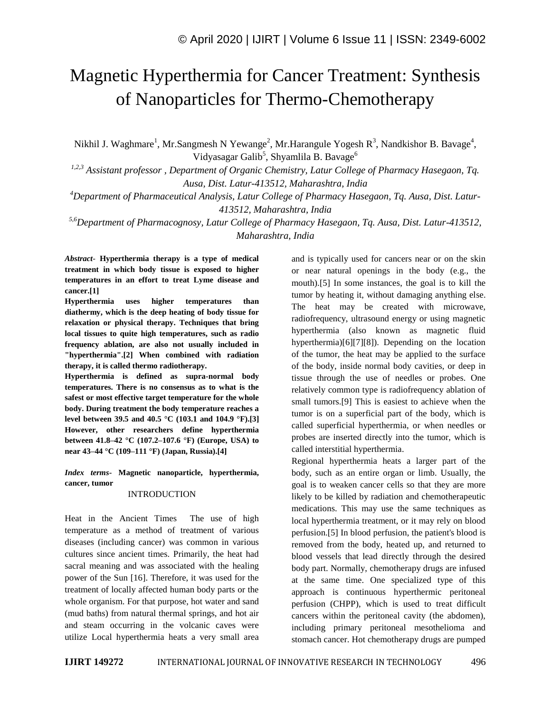# Magnetic Hyperthermia for Cancer Treatment: Synthesis of Nanoparticles for Thermo-Chemotherapy

Nikhil J. Waghmare<sup>1</sup>, Mr.Sangmesh N Yewange<sup>2</sup>, Mr.Harangule Yogesh R<sup>3</sup>, Nandkishor B. Bavage<sup>4</sup>, Vidyasagar Galib<sup>5</sup>, Shyamlila B. Bavage<sup>6</sup>

*1,2,3 Assistant professor , Department of Organic Chemistry, Latur College of Pharmacy Hasegaon, Tq. Ausa, Dist. Latur-413512, Maharashtra, India*

*<sup>4</sup>Department of Pharmaceutical Analysis, Latur College of Pharmacy Hasegaon, Tq. Ausa, Dist. Latur-413512, Maharashtra, India*

*5,6Department of Pharmacognosy, Latur College of Pharmacy Hasegaon, Tq. Ausa, Dist. Latur-413512, Maharashtra, India*

*Abstract*- **Hyperthermia therapy is a type of medical treatment in which body tissue is exposed to higher temperatures in an effort to treat Lyme disease and cancer.[1]**

**Hyperthermia uses higher temperatures than diathermy, which is the deep heating of body tissue for relaxation or physical therapy. Techniques that bring local tissues to quite high temperatures, such as radio frequency ablation, are also not usually included in "hyperthermia".[2] When combined with radiation therapy, it is called thermo radiotherapy.**

**Hyperthermia is defined as supra-normal body temperatures. There is no consensus as to what is the safest or most effective target temperature for the whole body. During treatment the body temperature reaches a level between 39.5 and 40.5 °C (103.1 and 104.9 °F).[3] However, other researchers define hyperthermia between 41.8–42 °C (107.2–107.6 °F) (Europe, USA) to near 43–44 °C (109–111 °F) (Japan, Russia).[4]**

*Index terms***- Magnetic nanoparticle, hyperthermia, cancer, tumor**

# INTRODUCTION

Heat in the Ancient Times The use of high temperature as a method of treatment of various diseases (including cancer) was common in various cultures since ancient times. Primarily, the heat had sacral meaning and was associated with the healing power of the Sun [16]. Therefore, it was used for the treatment of locally affected human body parts or the whole organism. For that purpose, hot water and sand (mud baths) from natural thermal springs, and hot air and steam occurring in the volcanic caves were utilize Local hyperthermia heats a very small area and is typically used for cancers near or on the skin or near natural openings in the body (e.g., the mouth).[5] In some instances, the goal is to kill the tumor by heating it, without damaging anything else. The heat may be created with microwave, radiofrequency, ultrasound energy or using magnetic hyperthermia (also known as magnetic fluid hyperthermia)[6][7][8]). Depending on the location of the tumor, the heat may be applied to the surface of the body, inside normal body cavities, or deep in tissue through the use of needles or probes. One relatively common type is radiofrequency ablation of small tumors.[9] This is easiest to achieve when the tumor is on a superficial part of the body, which is called superficial hyperthermia, or when needles or probes are inserted directly into the tumor, which is called interstitial hyperthermia.

Regional hyperthermia heats a larger part of the body, such as an entire organ or limb. Usually, the goal is to weaken cancer cells so that they are more likely to be killed by radiation and chemotherapeutic medications. This may use the same techniques as local hyperthermia treatment, or it may rely on blood perfusion.[5] In blood perfusion, the patient's blood is removed from the body, heated up, and returned to blood vessels that lead directly through the desired body part. Normally, chemotherapy drugs are infused at the same time. One specialized type of this approach is continuous hyperthermic peritoneal perfusion (CHPP), which is used to treat difficult cancers within the peritoneal cavity (the abdomen), including primary peritoneal mesothelioma and stomach cancer. Hot chemotherapy drugs are pumped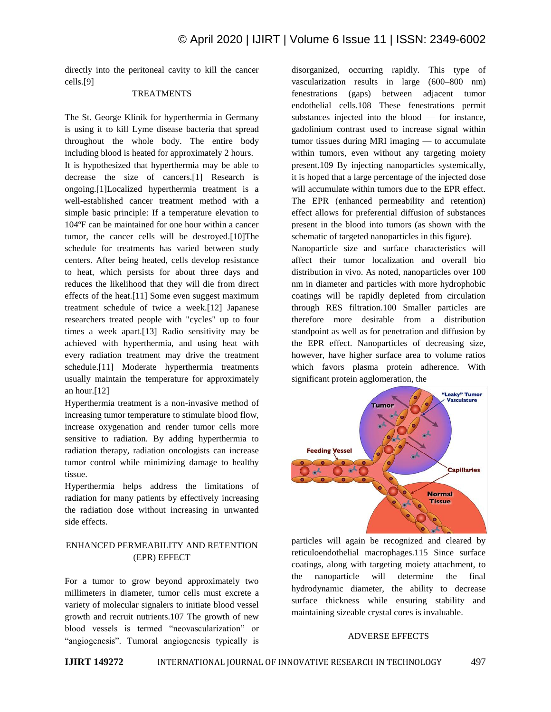directly into the peritoneal cavity to kill the cancer cells.[9]

## **TREATMENTS**

The St. George Klinik for hyperthermia in Germany is using it to kill Lyme disease bacteria that spread throughout the whole body. The entire body including blood is heated for approximately 2 hours. It is hypothesized that hyperthermia may be able to decrease the size of cancers.[1] Research is ongoing.[1]Localized hyperthermia treatment is a well-established cancer treatment method with a simple basic principle: If a temperature elevation to 104ºF can be maintained for one hour within a cancer tumor, the cancer cells will be destroyed.[10]The schedule for treatments has varied between study centers. After being heated, cells develop resistance to heat, which persists for about three days and reduces the likelihood that they will die from direct effects of the heat.[11] Some even suggest maximum treatment schedule of twice a week.[12] Japanese researchers treated people with "cycles" up to four times a week apart.[13] Radio sensitivity may be achieved with hyperthermia, and using heat with every radiation treatment may drive the treatment schedule.[11] Moderate hyperthermia treatments usually maintain the temperature for approximately an hour.[12]

Hyperthermia treatment is a non-invasive method of increasing tumor temperature to stimulate blood flow, increase oxygenation and render tumor cells more sensitive to radiation. By adding hyperthermia to radiation therapy, radiation oncologists can increase tumor control while minimizing damage to healthy tissue.

Hyperthermia helps address the limitations of radiation for many patients by effectively increasing the radiation dose without increasing in unwanted side effects.

# ENHANCED PERMEABILITY AND RETENTION (EPR) EFFECT

For a tumor to grow beyond approximately two millimeters in diameter, tumor cells must excrete a variety of molecular signalers to initiate blood vessel growth and recruit nutrients.107 The growth of new blood vessels is termed "neovascularization" or "angiogenesis". Tumoral angiogenesis typically is

disorganized, occurring rapidly. This type of vascularization results in large (600–800 nm) fenestrations (gaps) between adjacent tumor endothelial cells.108 These fenestrations permit substances injected into the blood — for instance, gadolinium contrast used to increase signal within tumor tissues during MRI imaging — to accumulate within tumors, even without any targeting moiety present.109 By injecting nanoparticles systemically, it is hoped that a large percentage of the injected dose will accumulate within tumors due to the EPR effect. The EPR (enhanced permeability and retention) effect allows for preferential diffusion of substances present in the blood into tumors (as shown with the schematic of targeted nanoparticles in this figure).

Nanoparticle size and surface characteristics will affect their tumor localization and overall bio distribution in vivo. As noted, nanoparticles over 100 nm in diameter and particles with more hydrophobic coatings will be rapidly depleted from circulation through RES filtration.100 Smaller particles are therefore more desirable from a distribution standpoint as well as for penetration and diffusion by the EPR effect. Nanoparticles of decreasing size, however, have higher surface area to volume ratios which favors plasma protein adherence. With significant protein agglomeration, the



particles will again be recognized and cleared by reticuloendothelial macrophages.115 Since surface coatings, along with targeting moiety attachment, to the nanoparticle will determine the final hydrodynamic diameter, the ability to decrease surface thickness while ensuring stability and maintaining sizeable crystal cores is invaluable.

## ADVERSE EFFECTS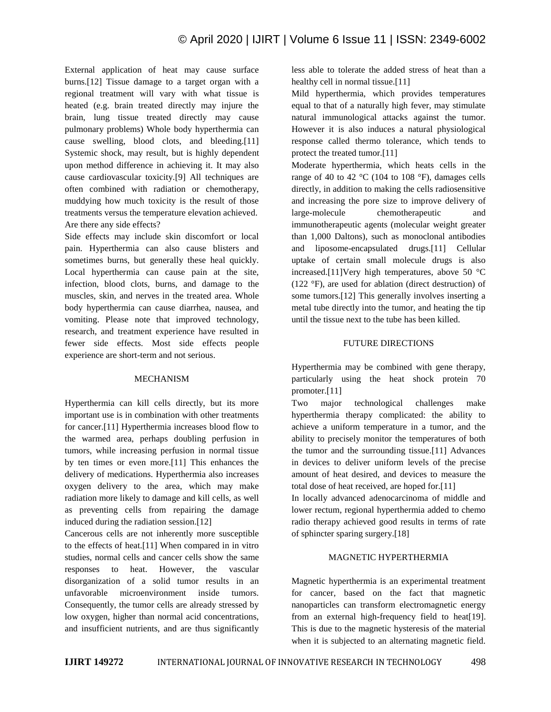External application of heat may cause surface burns.[12] Tissue damage to a target organ with a regional treatment will vary with what tissue is heated (e.g. brain treated directly may injure the brain, lung tissue treated directly may cause pulmonary problems) Whole body hyperthermia can cause swelling, blood clots, and bleeding.[11] Systemic shock, may result, but is highly dependent upon method difference in achieving it. It may also cause cardiovascular toxicity.[9] All techniques are often combined with radiation or chemotherapy, muddying how much toxicity is the result of those treatments versus the temperature elevation achieved. Are there any side effects?

Side effects may include skin discomfort or local pain. Hyperthermia can also cause blisters and sometimes burns, but generally these heal quickly. Local hyperthermia can cause pain at the site, infection, blood clots, burns, and damage to the muscles, skin, and nerves in the treated area. Whole body hyperthermia can cause diarrhea, nausea, and vomiting. Please note that improved technology, research, and treatment experience have resulted in fewer side effects. Most side effects people experience are short-term and not serious.

## MECHANISM

Hyperthermia can kill cells directly, but its more important use is in combination with other treatments for cancer.[11] Hyperthermia increases blood flow to the warmed area, perhaps doubling perfusion in tumors, while increasing perfusion in normal tissue by ten times or even more.[11] This enhances the delivery of medications. Hyperthermia also increases oxygen delivery to the area, which may make radiation more likely to damage and kill cells, as well as preventing cells from repairing the damage induced during the radiation session.[12]

Cancerous cells are not inherently more susceptible to the effects of heat.[11] When compared in in vitro studies, normal cells and cancer cells show the same responses to heat. However, the vascular disorganization of a solid tumor results in an unfavorable microenvironment inside tumors. Consequently, the tumor cells are already stressed by low oxygen, higher than normal acid concentrations, and insufficient nutrients, and are thus significantly less able to tolerate the added stress of heat than a healthy cell in normal tissue.<sup>[11]</sup>

Mild hyperthermia, which provides temperatures equal to that of a naturally high fever, may stimulate natural immunological attacks against the tumor. However it is also induces a natural physiological response called thermo tolerance, which tends to protect the treated tumor.[11]

Moderate hyperthermia, which heats cells in the range of 40 to 42  $^{\circ}$ C (104 to 108  $^{\circ}$ F), damages cells directly, in addition to making the cells radiosensitive and increasing the pore size to improve delivery of large-molecule chemotherapeutic and immunotherapeutic agents (molecular weight greater than 1,000 Daltons), such as monoclonal antibodies and liposome-encapsulated drugs.[11] Cellular uptake of certain small molecule drugs is also increased.[11]Very high temperatures, above 50 °C (122 °F), are used for ablation (direct destruction) of some tumors.[12] This generally involves inserting a metal tube directly into the tumor, and heating the tip until the tissue next to the tube has been killed.

## FUTURE DIRECTIONS

Hyperthermia may be combined with gene therapy, particularly using the heat shock protein 70 promoter.[11]

Two major technological challenges make hyperthermia therapy complicated: the ability to achieve a uniform temperature in a tumor, and the ability to precisely monitor the temperatures of both the tumor and the surrounding tissue.[11] Advances in devices to deliver uniform levels of the precise amount of heat desired, and devices to measure the total dose of heat received, are hoped for.[11]

In locally advanced adenocarcinoma of middle and lower rectum, regional hyperthermia added to chemo radio therapy achieved good results in terms of rate of sphincter sparing surgery.[18]

# MAGNETIC HYPERTHERMIA

Magnetic hyperthermia is an experimental treatment for cancer, based on the fact that magnetic nanoparticles can transform electromagnetic energy from an external high-frequency field to heat[19]. This is due to the magnetic hysteresis of the material when it is subjected to an alternating magnetic field.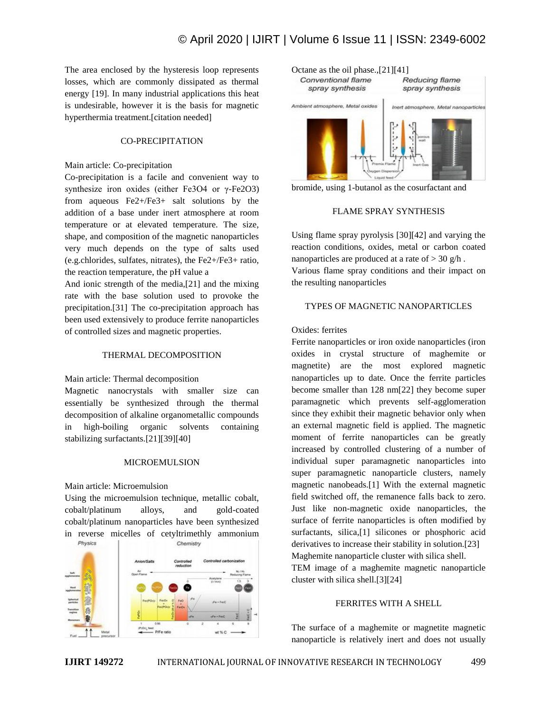The area enclosed by the hysteresis loop represents losses, which are commonly dissipated as thermal energy [19]. In many industrial applications this heat is undesirable, however it is the basis for magnetic hyperthermia treatment.[citation needed]

## CO-PRECIPITATION

## Main article: Co-precipitation

Co-precipitation is a facile and convenient way to synthesize iron oxides (either Fe3O4 or γ-Fe2O3) from aqueous Fe2+/Fe3+ salt solutions by the addition of a base under inert atmosphere at room temperature or at elevated temperature. The size, shape, and composition of the magnetic nanoparticles very much depends on the type of salts used (e.g.chlorides, sulfates, nitrates), the Fe2+/Fe3+ ratio, the reaction temperature, the pH value a

And ionic strength of the media,[21] and the mixing rate with the base solution used to provoke the precipitation.[31] The co-precipitation approach has been used extensively to produce ferrite nanoparticles of controlled sizes and magnetic properties.

## THERMAL DECOMPOSITION

#### Main article: Thermal decomposition

Magnetic nanocrystals with smaller size can essentially be synthesized through the thermal decomposition of alkaline organometallic compounds in high-boiling organic solvents containing stabilizing surfactants.[21][39][40]

#### MICROEMULSION

## Main article: Microemulsion

Using the microemulsion technique, metallic cobalt, cobalt/platinum alloys, and gold-coated cobalt/platinum nanoparticles have been synthesized in reverse micelles of cetyltrimethly ammonium Physics Chemistry







## FLAME SPRAY SYNTHESIS

Using flame spray pyrolysis [30][42] and varying the reaction conditions, oxides, metal or carbon coated nanoparticles are produced at a rate of  $>$  30 g/h.

Various flame spray conditions and their impact on the resulting nanoparticles

## TYPES OF MAGNETIC NANOPARTICLES

## Oxides: ferrites

Ferrite nanoparticles or iron oxide nanoparticles (iron oxides in crystal structure of maghemite or magnetite) are the most explored magnetic nanoparticles up to date. Once the ferrite particles become smaller than 128 nm[22] they become super paramagnetic which prevents self-agglomeration since they exhibit their magnetic behavior only when an external magnetic field is applied. The magnetic moment of ferrite nanoparticles can be greatly increased by controlled clustering of a number of individual super paramagnetic nanoparticles into super paramagnetic nanoparticle clusters, namely magnetic nanobeads.[1] With the external magnetic field switched off, the remanence falls back to zero. Just like non-magnetic oxide nanoparticles, the surface of ferrite nanoparticles is often modified by surfactants, silica,[1] silicones or phosphoric acid derivatives to increase their stability in solution.[23] Maghemite nanoparticle cluster with silica shell. TEM image of a maghemite magnetic nanoparticle cluster with silica shell.[3][24]

# FERRITES WITH A SHELL

The surface of a maghemite or magnetite magnetic nanoparticle is relatively inert and does not usually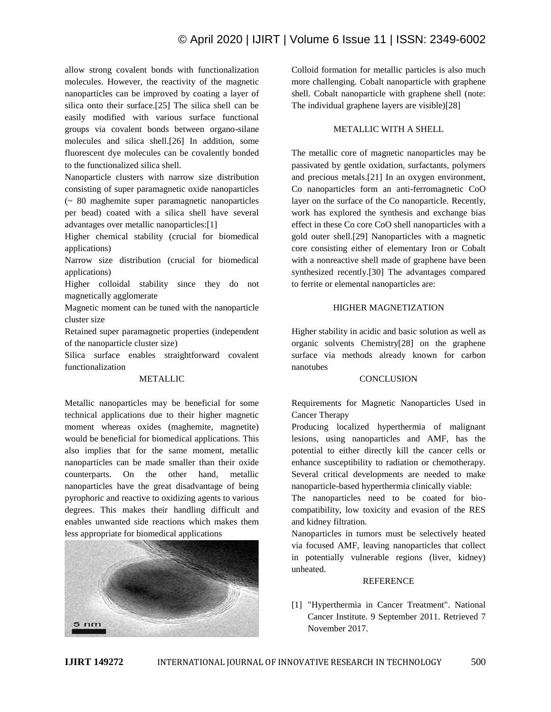allow strong covalent bonds with functionalization molecules. However, the reactivity of the magnetic nanoparticles can be improved by coating a layer of silica onto their surface.[25] The silica shell can be easily modified with various surface functional groups via covalent bonds between organo-silane molecules and silica shell.[26] In addition, some fluorescent dye molecules can be covalently bonded to the functionalized silica shell.

Nanoparticle clusters with narrow size distribution consisting of super paramagnetic oxide nanoparticles (~ 80 maghemite super paramagnetic nanoparticles per bead) coated with a silica shell have several advantages over metallic nanoparticles:[1]

Higher chemical stability (crucial for biomedical applications)

Narrow size distribution (crucial for biomedical applications)

Higher colloidal stability since they do not magnetically agglomerate

Magnetic moment can be tuned with the nanoparticle cluster size

Retained super paramagnetic properties (independent of the nanoparticle cluster size)

Silica surface enables straightforward covalent functionalization

# METALLIC

Metallic nanoparticles may be beneficial for some technical applications due to their higher magnetic moment whereas oxides (maghemite, magnetite) would be beneficial for biomedical applications. This also implies that for the same moment, metallic nanoparticles can be made smaller than their oxide counterparts. On the other hand, metallic nanoparticles have the great disadvantage of being pyrophoric and reactive to oxidizing agents to various degrees. This makes their handling difficult and enables unwanted side reactions which makes them less appropriate for biomedical applications



Colloid formation for metallic particles is also much more challenging. Cobalt nanoparticle with graphene shell. Cobalt nanoparticle with graphene shell (note: The individual graphene layers are visible)[28]

# METALLIC WITH A SHELL

The metallic core of magnetic nanoparticles may be passivated by gentle oxidation, surfactants, polymers and precious metals.[21] In an oxygen environment, Co nanoparticles form an anti-ferromagnetic CoO layer on the surface of the Co nanoparticle. Recently, work has explored the synthesis and exchange bias effect in these Co core CoO shell nanoparticles with a gold outer shell.[29] Nanoparticles with a magnetic core consisting either of elementary Iron or Cobalt with a nonreactive shell made of graphene have been synthesized recently.[30] The advantages compared to ferrite or elemental nanoparticles are:

# HIGHER MAGNETIZATION

Higher stability in acidic and basic solution as well as organic solvents Chemistry[28] on the graphene surface via methods already known for carbon nanotubes

# **CONCLUSION**

Requirements for Magnetic Nanoparticles Used in Cancer Therapy

Producing localized hyperthermia of malignant lesions, using nanoparticles and AMF, has the potential to either directly kill the cancer cells or enhance susceptibility to radiation or chemotherapy. Several critical developments are needed to make nanoparticle-based hyperthermia clinically viable:

The nanoparticles need to be coated for biocompatibility, low toxicity and evasion of the RES and kidney filtration.

Nanoparticles in tumors must be selectively heated via focused AMF, leaving nanoparticles that collect in potentially vulnerable regions (liver, kidney) unheated.

# REFERENCE

[1] "Hyperthermia in Cancer Treatment". National Cancer Institute. 9 September 2011. Retrieved 7 November 2017.